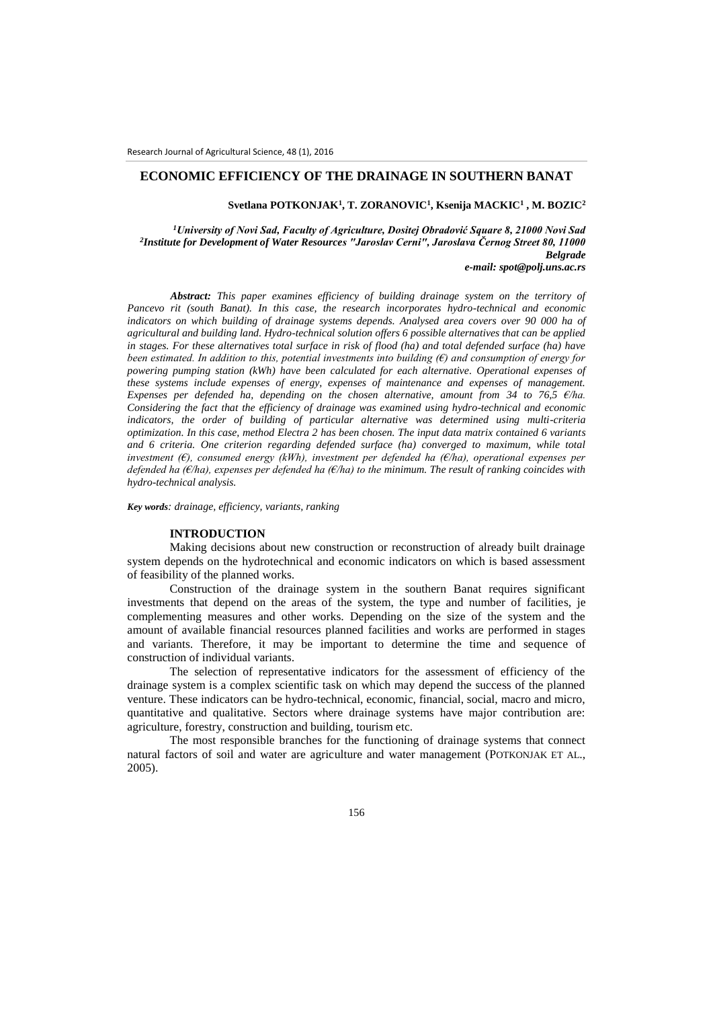# **ECONOMIC EFFICIENCY OF THE DRAINAGE IN SOUTHERN BANAT**

**Svetlana POTKONJAK<sup>1</sup> , T. ZORANOVIC<sup>1</sup> , Ksenija MACKIC<sup>1</sup> , M. BOZIC<sup>2</sup>**

*<sup>1</sup>University of Novi Sad, Faculty of Agriculture, Dositej Obradović Square 8, 21000 Novi Sad 2 Institute for Development of Water Resources "Jaroslav Cerni", Jaroslava Černog Street 80, 11000 Belgrade*

*e-mail: spot@polj.uns.ac.rs*

*Abstract: This paper examines efficiency of building drainage system on the territory of Pancevo rit (south Banat). In this case, the research incorporates hydro-technical and economic indicators on which building of drainage systems depends. Analysed area covers over 90 000 ha of agricultural and building land. Hydro-technical solution offers 6 possible alternatives that can be applied in stages. For these alternatives total surface in risk of flood (ha) and total defended surface (ha) have been estimated. In addition to this, potential investments into building (€) and consumption of energy for powering pumping station (kWh) have been calculated for each alternative. Operational expenses of these systems include expenses of energy, expenses of maintenance and expenses of management. Expenses per defended ha, depending on the chosen alternative, amount from 34 to 76,5 €/ha. Considering the fact that the efficiency of drainage was examined using hydro-technical and economic indicators, the order of building of particular alternative was determined using multi-criteria optimization. In this case, method Electra 2 has been chosen. The input data matrix contained 6 variants and 6 criteria. One criterion regarding defended surface (ha) converged to maximum, while total investment (€), consumed energy (kWh), investment per defended ha (€/ha), operational expenses per defended ha (€/ha), expenses per defended ha (€/ha) to the minimum. The result of ranking coincides with hydro-technical analysis.*

*Key words: drainage, efficiency, variants, ranking*

### **INTRODUCTION**

Making decisions about new construction or reconstruction of already built drainage system depends on the hydrotechnical and economic indicators on which is based assessment of feasibility of the planned works.

Construction of the drainage system in the southern Banat requires significant investments that depend on the areas of the system, the type and number of facilities, je complementing measures and other works. Depending on the size of the system and the amount of available financial resources planned facilities and works are performed in stages and variants. Therefore, it may be important to determine the time and sequence of construction of individual variants.

The selection of representative indicators for the assessment of efficiency of the drainage system is a complex scientific task on which may depend the success of the planned venture. These indicators can be hydro-technical, economic, financial, social, macro and micro, quantitative and qualitative. Sectors where drainage systems have major contribution are: agriculture, forestry, construction and building, tourism etc.

The most responsible branches for the functioning of drainage systems that connect natural factors of soil and water are agriculture and water management (POTKONJAK ET AL., 2005).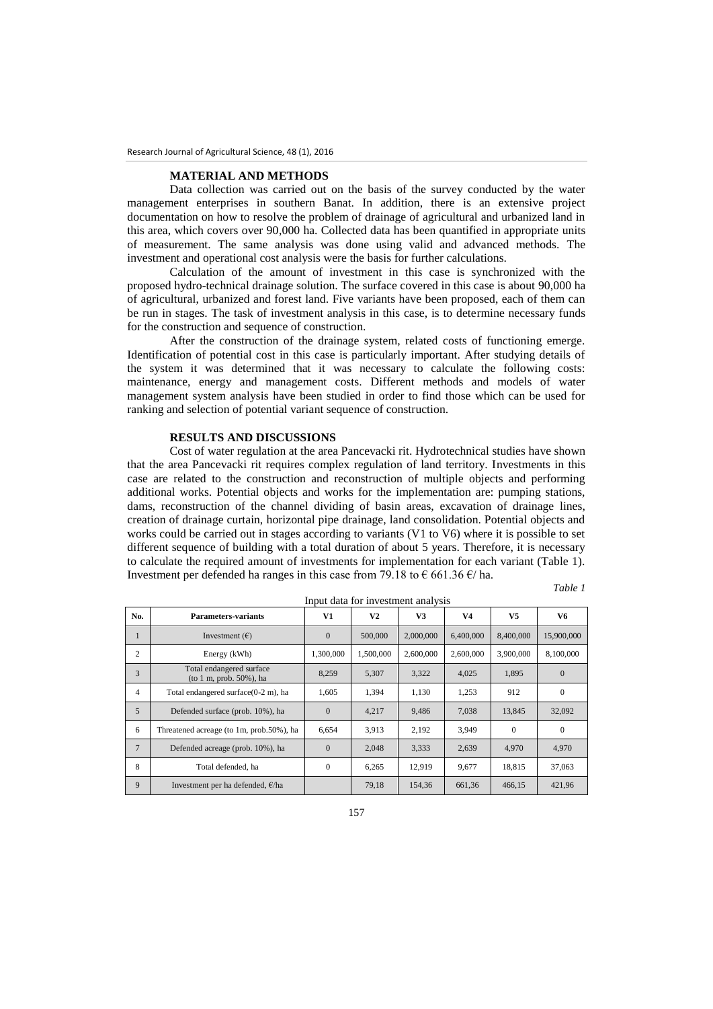## **MATERIAL AND METHODS**

Data collection was carried out on the basis of the survey conducted by the water management enterprises in southern Banat. In addition, there is an extensive project documentation on how to resolve the problem of drainage of agricultural and urbanized land in this area, which covers over 90,000 ha. Collected data has been quantified in appropriate units of measurement. The same analysis was done using valid and advanced methods. The investment and operational cost analysis were the basis for further calculations.

Calculation of the amount of investment in this case is synchronized with the proposed hydro-technical drainage solution. The surface covered in this case is about 90,000 ha of agricultural, urbanized and forest land. Five variants have been proposed, each of them can be run in stages. The task of investment analysis in this case, is to determine necessary funds for the construction and sequence of construction.

After the construction of the drainage system, related costs of functioning emerge. Identification of potential cost in this case is particularly important. After studying details of the system it was determined that it was necessary to calculate the following costs: maintenance, energy and management costs. Different methods and models of water management system analysis have been studied in order to find those which can be used for ranking and selection of potential variant sequence of construction.

#### **RESULTS AND DISCUSSIONS**

Cost of water regulation at the area Pancevacki rit. Hydrotechnical studies have shown that the area Pancevacki rit requires complex regulation of land territory. Investments in this case are related to the construction and reconstruction of multiple objects and performing additional works. Potential objects and works for the implementation are: pumping stations, dams, reconstruction of the channel dividing of basin areas, excavation of drainage lines, creation of drainage curtain, horizontal pipe drainage, land consolidation. Potential objects and works could be carried out in stages according to variants (V1 to V6) where it is possible to set different sequence of building with a total duration of about 5 years. Therefore, it is necessary to calculate the required amount of investments for implementation for each variant (Table 1). Investment per defended ha ranges in this case from 79.18 to  $\epsilon$  661.36  $\epsilon$ / ha. *Table 1*

| able<br>, |  |
|-----------|--|
|-----------|--|

|                | Input data for investment analysis                      |                |           |           |                |           |            |  |
|----------------|---------------------------------------------------------|----------------|-----------|-----------|----------------|-----------|------------|--|
| No.            | <b>Parameters-variants</b>                              | V1             | V2        | V3        | V <sub>4</sub> | V5        | V6         |  |
| 1              | Investment $(\epsilon)$                                 | $\mathbf{0}$   | 500,000   | 2,000,000 | 6,400,000      | 8,400,000 | 15,900,000 |  |
| $\overline{c}$ | Energy (kWh)                                            | 1,300,000      | 1,500,000 | 2,600,000 | 2,600,000      | 3,900,000 | 8,100,000  |  |
| 3              | Total endangered surface<br>(to 1 m, prob. $50\%$ ), ha | 8,259          | 5,307     | 3,322     | 4,025          | 1,895     | $\Omega$   |  |
| $\overline{4}$ | Total endangered surface(0-2 m), ha                     | 1,605          | 1,394     | 1,130     | 1,253          | 912       | $\Omega$   |  |
| 5              | Defended surface (prob. 10%), ha                        | $\overline{0}$ | 4,217     | 9,486     | 7,038          | 13,845    | 32,092     |  |
| 6              | Threatened acreage (to 1m, prob.50%), ha                | 6,654          | 3,913     | 2,192     | 3,949          | $\Omega$  | $\Omega$   |  |
| $\overline{7}$ | Defended acreage (prob. 10%), ha                        | $\overline{0}$ | 2,048     | 3,333     | 2,639          | 4,970     | 4,970      |  |
| 8              | Total defended, ha                                      | $\mathbf{0}$   | 6,265     | 12.919    | 9,677          | 18.815    | 37,063     |  |
| 9              | Investment per ha defended, $\epsilon$ /ha              |                | 79.18     | 154.36    | 661,36         | 466.15    | 421,96     |  |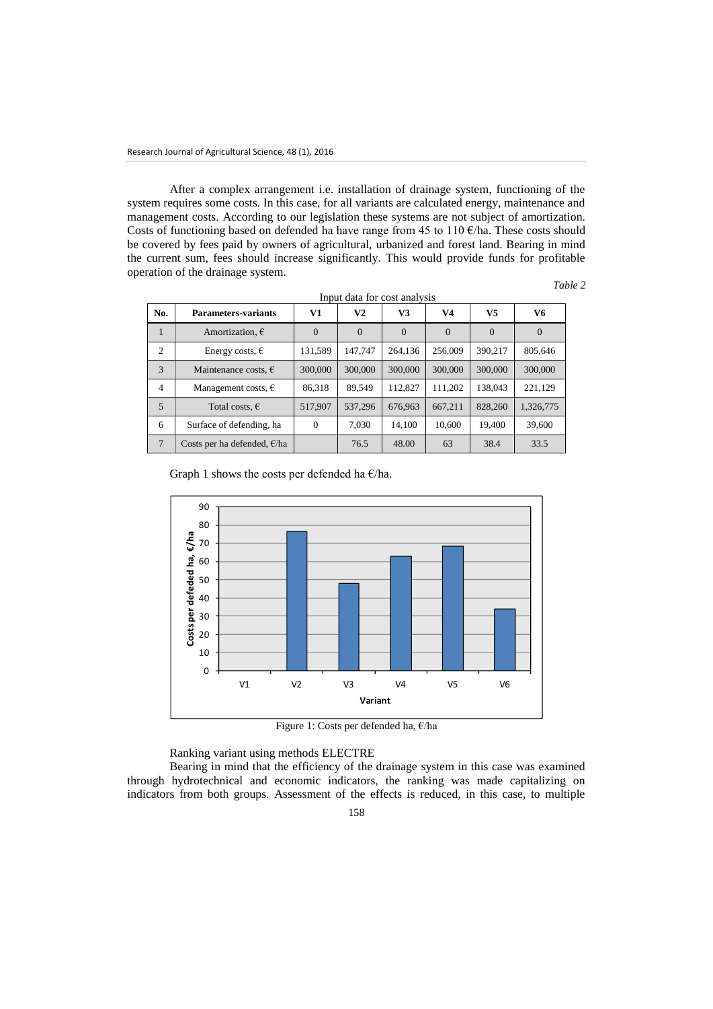After a complex arrangement i.e. installation of drainage system, functioning of the system requires some costs. In this case, for all variants are calculated energy, maintenance and management costs. According to our legislation these systems are not subject of amortization. Costs of functioning based on defended ha have range from 45 to 110  $\epsilon$ /ha. These costs should be covered by fees paid by owners of agricultural, urbanized and forest land. Bearing in mind the current sum, fees should increase significantly. This would provide funds for profitable operation of the drainage system.

*Table 2*

| No. | <b>Parameters-variants</b>            | V1             | V <sub>2</sub> | V3             | V4             | V5             | V6             |
|-----|---------------------------------------|----------------|----------------|----------------|----------------|----------------|----------------|
| 1   | Amortization, $\epsilon$              | $\overline{0}$ | $\overline{0}$ | $\overline{0}$ | $\overline{0}$ | $\overline{0}$ | $\overline{0}$ |
| 2   | Energy costs, $\epsilon$              | 131,589        | 147,747        | 264,136        | 256,009        | 390,217        | 805,646        |
| 3   | Maintenance costs, $\epsilon$         | 300,000        | 300,000        | 300,000        | 300,000        | 300,000        | 300,000        |
| 4   | Management costs, $\epsilon$          | 86,318         | 89,549         | 112,827        | 111,202        | 138,043        | 221,129        |
| 5   | Total costs, $\epsilon$               | 517,907        | 537,296        | 676.963        | 667.211        | 828,260        | 1,326,775      |
| 6   | Surface of defending, ha              | $\mathbf{0}$   | 7.030          | 14.100         | 10.600         | 19.400         | 39,600         |
| 7   | Costs per ha defended, $\epsilon$ /ha |                | 76.5           | 48.00          | 63             | 38.4           | 33.5           |

| Input data for cost analysis |  |  |  |  |  |  |
|------------------------------|--|--|--|--|--|--|
|------------------------------|--|--|--|--|--|--|

Graph 1 shows the costs per defended ha  $E/ha$ .



Figure 1: Costs per defended ha, €/ha

Ranking variant using methods ELECTRE

Bearing in mind that the efficiency of the drainage system in this case was examined through hydrotechnical and economic indicators, the ranking was made capitalizing on indicators from both groups. Assessment of the effects is reduced, in this case, to multiple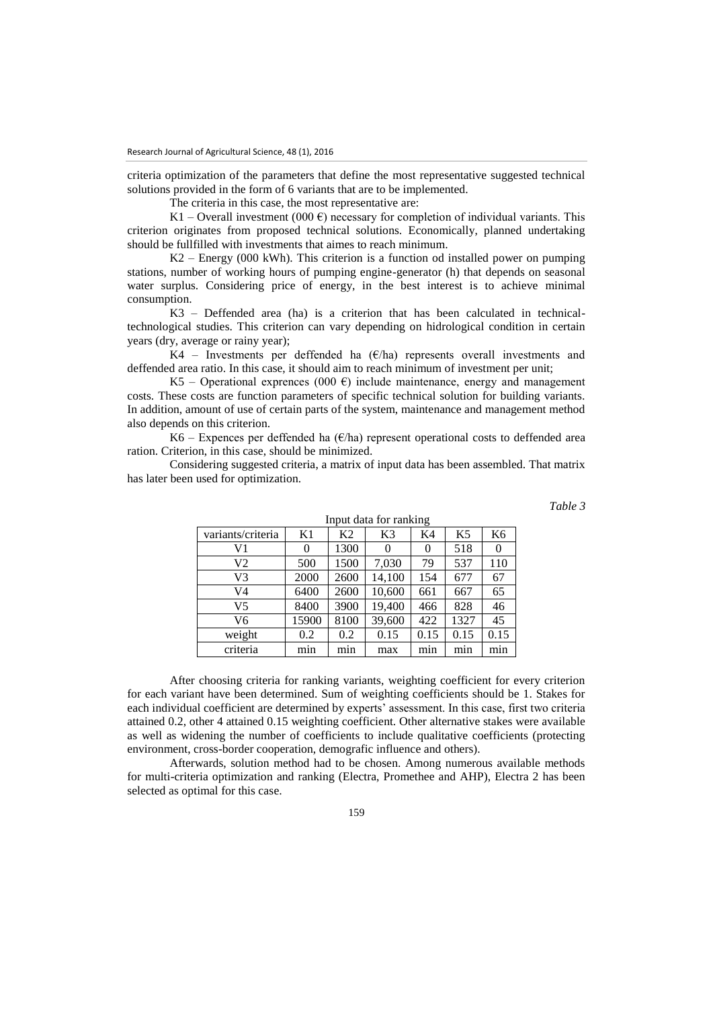criteria optimization of the parameters that define the most representative suggested technical solutions provided in the form of 6 variants that are to be implemented.

The criteria in this case, the most representative are:

K1 – Overall investment (000  $\epsilon$ ) necessary for completion of individual variants. This criterion originates from proposed technical solutions. Economically, planned undertaking should be fullfilled with investments that aimes to reach minimum.

 $K2$  – Energy (000 kWh). This criterion is a function od installed power on pumping stations, number of working hours of pumping engine-generator (h) that depends on seasonal water surplus. Considering price of energy, in the best interest is to achieve minimal consumption.

K3 – Deffended area (ha) is a criterion that has been calculated in technicaltechnological studies. This criterion can vary depending on hidrological condition in certain years (dry, average or rainy year);

K4 – Investments per deffended ha  $(E/\text{ha})$  represents overall investments and deffended area ratio. In this case, it should aim to reach minimum of investment per unit;

K5 – Operational exprences (000  $\epsilon$ ) include maintenance, energy and management costs. These costs are function parameters of specific technical solution for building variants. In addition, amount of use of certain parts of the system, maintenance and management method also depends on this criterion.

K6 – Expences per deffended ha  $(E/\text{ha})$  represent operational costs to deffended area ration. Criterion, in this case, should be minimized.

Considering suggested criteria, a matrix of input data has been assembled. That matrix has later been used for optimization.

*Table 3*

| Input data for ranking |       |                |          |          |                |                |  |
|------------------------|-------|----------------|----------|----------|----------------|----------------|--|
| variants/criteria      | K1    | K <sub>2</sub> | K3       | K4       | K <sub>5</sub> | K <sub>6</sub> |  |
| V1                     | 0     | 1300           | $\theta$ | $\theta$ | 518            |                |  |
| V2                     | 500   | 1500           | 7,030    | 79       | 537            | 110            |  |
| V3                     | 2000  | 2600           | 14,100   | 154      | 677            | 67             |  |
| V4                     | 6400  | 2600           | 10,600   | 661      | 667            | 65             |  |
| V5                     | 8400  | 3900           | 19,400   | 466      | 828            | 46             |  |
| V6                     | 15900 | 8100           | 39,600   | 422      | 1327           | 45             |  |
| weight                 | 0.2   | 0.2            | 0.15     | 0.15     | 0.15           | 0.15           |  |
| criteria               | min   | min            | max      | mın      | min            | mın            |  |

After choosing criteria for ranking variants, weighting coefficient for every criterion for each variant have been determined. Sum of weighting coefficients should be 1. Stakes for each individual coefficient are determined by experts' assessment. In this case, first two criteria attained 0.2, other 4 attained 0.15 weighting coefficient. Other alternative stakes were available as well as widening the number of coefficients to include qualitative coefficients (protecting

Afterwards, solution method had to be chosen. Among numerous available methods for multi-criteria optimization and ranking (Electra, Promethee and AHP), Electra 2 has been selected as optimal for this case.

environment, cross-border cooperation, demografic influence and others).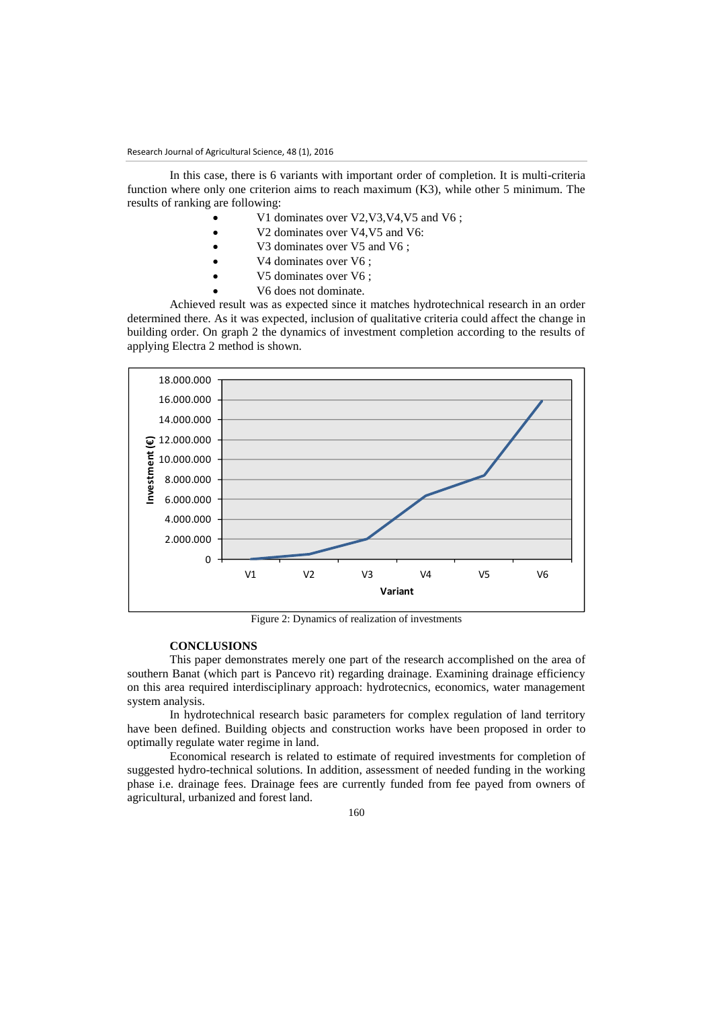In this case, there is 6 variants with important order of completion. It is multi-criteria function where only one criterion aims to reach maximum (K3), while other 5 minimum. The results of ranking are following:

- V1 dominates over V2,V3,V4,V5 and V6 ;
- V2 dominates over V4,V5 and V6:
- V3 dominates over V5 and V6 ;
- V4 dominates over V6 ;
- V5 dominates over V6;
- V6 does not dominate.

Achieved result was as expected since it matches hydrotechnical research in an order determined there. As it was expected, inclusion of qualitative criteria could affect the change in building order. On graph 2 the dynamics of investment completion according to the results of applying Electra 2 method is shown.



Figure 2: Dynamics of realization of investments

## **CONCLUSIONS**

This paper demonstrates merely one part of the research accomplished on the area of southern Banat (which part is Pancevo rit) regarding drainage. Examining drainage efficiency on this area required interdisciplinary approach: hydrotecnics, economics, water management system analysis.

In hydrotechnical research basic parameters for complex regulation of land territory have been defined. Building objects and construction works have been proposed in order to optimally regulate water regime in land.

Economical research is related to estimate of required investments for completion of suggested hydro-technical solutions. In addition, assessment of needed funding in the working phase i.e. drainage fees. Drainage fees are currently funded from fee payed from owners of agricultural, urbanized and forest land.